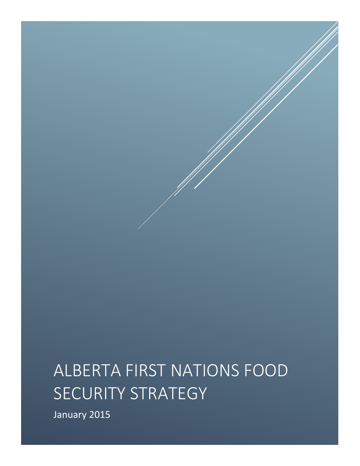# ALBERTA FIRST NATIONS FOOD SECURITY STRATEGY

January 2015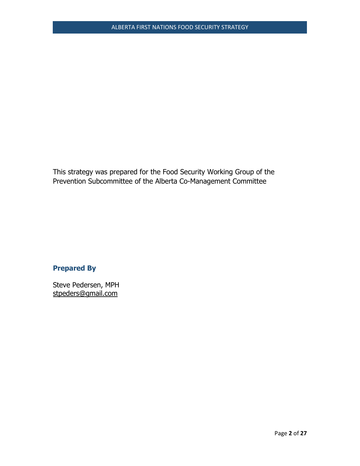This strategy was prepared for the Food Security Working Group of the Prevention Subcommittee of the Alberta Co-Management Committee

# **Prepared By**

Steve Pedersen, MPH [stpeders@gmail.com](mailto:stpeders@gmail.com)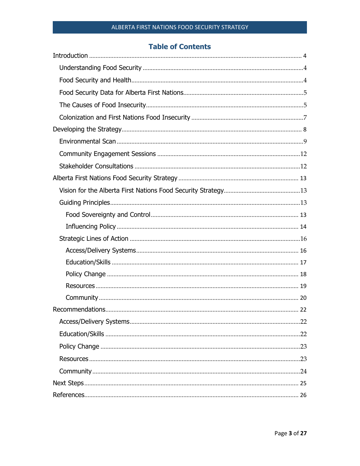# **Table of Contents**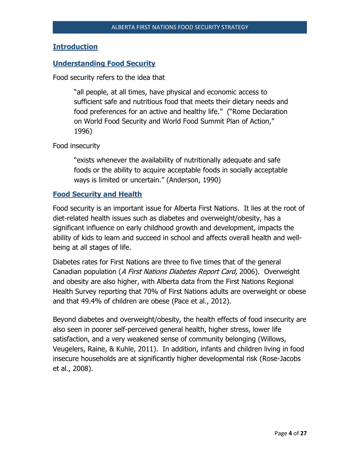# <span id="page-3-0"></span>**Introduction**

# <span id="page-3-1"></span>**Understanding Food Security**

Food security refers to the idea that

"all people, at all times, have physical and economic access to sufficient safe and nutritious food that meets their dietary needs and food preferences for an active and healthy life." ("Rome Declaration on World Food Security and World Food Summit Plan of Action," 1996)

Food insecurity

"exists whenever the availability of nutritionally adequate and safe foods or the ability to acquire acceptable foods in socially acceptable ways is limited or uncertain." (Anderson, 1990)

# <span id="page-3-2"></span>**Food Security and Health**

Food security is an important issue for Alberta First Nations. It lies at the root of diet-related health issues such as diabetes and overweight/obesity, has a significant influence on early childhood growth and development, impacts the ability of kids to learn and succeed in school and affects overall health and wellbeing at all stages of life.

Diabetes rates for First Nations are three to five times that of the general Canadian population (A First Nations Diabetes Report Card, 2006). Overweight and obesity are also higher, with Alberta data from the First Nations Regional Health Survey reporting that 70% of First Nations adults are overweight or obese and that 49.4% of children are obese (Pace et al., 2012).

Beyond diabetes and overweight/obesity, the health effects of food insecurity are also seen in poorer self-perceived general health, higher stress, lower life satisfaction, and a very weakened sense of community belonging (Willows, Veugelers, Raine, & Kuhle, 2011). In addition, infants and children living in food insecure households are at significantly higher developmental risk (Rose-Jacobs et al., 2008).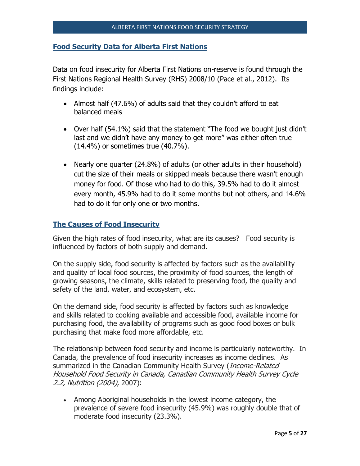#### <span id="page-4-0"></span>**Food Security Data for Alberta First Nations**

Data on food insecurity for Alberta First Nations on-reserve is found through the First Nations Regional Health Survey (RHS) 2008/10 (Pace et al., 2012). Its findings include:

- Almost half (47.6%) of adults said that they couldn't afford to eat balanced meals
- Over half (54.1%) said that the statement "The food we bought just didn't last and we didn't have any money to get more" was either often true (14.4%) or sometimes true (40.7%).
- Nearly one quarter (24.8%) of adults (or other adults in their household) cut the size of their meals or skipped meals because there wasn't enough money for food. Of those who had to do this, 39.5% had to do it almost every month, 45.9% had to do it some months but not others, and 14.6% had to do it for only one or two months.

# <span id="page-4-1"></span>**The Causes of Food Insecurity**

Given the high rates of food insecurity, what are its causes? Food security is influenced by factors of both supply and demand.

On the supply side, food security is affected by factors such as the availability and quality of local food sources, the proximity of food sources, the length of growing seasons, the climate, skills related to preserving food, the quality and safety of the land, water, and ecosystem, etc.

On the demand side, food security is affected by factors such as knowledge and skills related to cooking available and accessible food, available income for purchasing food, the availability of programs such as good food boxes or bulk purchasing that make food more affordable, etc.

The relationship between food security and income is particularly noteworthy. In Canada, the prevalence of food insecurity increases as income declines. As summarized in the Canadian Community Health Survey (*Income-Related* Household Food Security in Canada, Canadian Community Health Survey Cycle 2.2, Nutrition (2004), 2007):

 Among Aboriginal households in the lowest income category, the prevalence of severe food insecurity (45.9%) was roughly double that of moderate food insecurity (23.3%).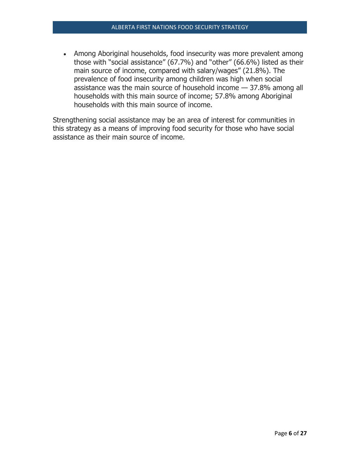• Among Aboriginal households, food insecurity was more prevalent among those with "social assistance" (67.7%) and "other" (66.6%) listed as their main source of income, compared with salary/wages" (21.8%). The prevalence of food insecurity among children was high when social assistance was the main source of household income — 37.8% among all households with this main source of income; 57.8% among Aboriginal households with this main source of income.

Strengthening social assistance may be an area of interest for communities in this strategy as a means of improving food security for those who have social assistance as their main source of income.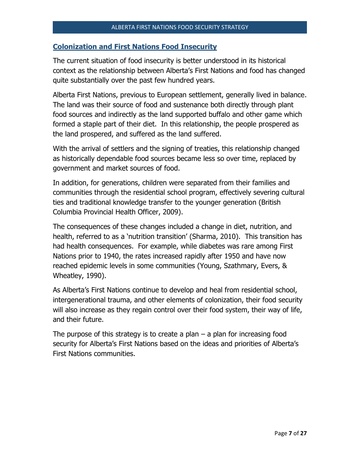#### <span id="page-6-0"></span>**Colonization and First Nations Food Insecurity**

The current situation of food insecurity is better understood in its historical context as the relationship between Alberta's First Nations and food has changed quite substantially over the past few hundred years.

Alberta First Nations, previous to European settlement, generally lived in balance. The land was their source of food and sustenance both directly through plant food sources and indirectly as the land supported buffalo and other game which formed a staple part of their diet. In this relationship, the people prospered as the land prospered, and suffered as the land suffered.

With the arrival of settlers and the signing of treaties, this relationship changed as historically dependable food sources became less so over time, replaced by government and market sources of food.

In addition, for generations, children were separated from their families and communities through the residential school program, effectively severing cultural ties and traditional knowledge transfer to the younger generation (British Columbia Provincial Health Officer, 2009).

The consequences of these changes included a change in diet, nutrition, and health, referred to as a 'nutrition transition' (Sharma, 2010). This transition has had health consequences. For example, while diabetes was rare among First Nations prior to 1940, the rates increased rapidly after 1950 and have now reached epidemic levels in some communities (Young, Szathmary, Evers, & Wheatley, 1990).

As Alberta's First Nations continue to develop and heal from residential school, intergenerational trauma, and other elements of colonization, their food security will also increase as they regain control over their food system, their way of life, and their future.

The purpose of this strategy is to create a plan  $-$  a plan for increasing food security for Alberta's First Nations based on the ideas and priorities of Alberta's First Nations communities.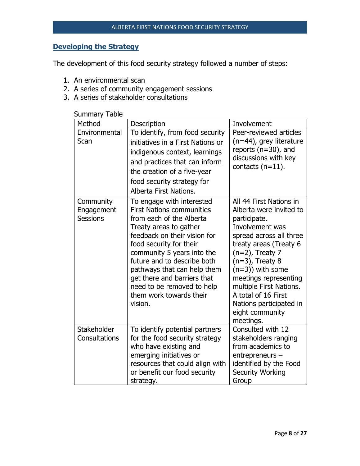# <span id="page-7-0"></span>**Developing the Strategy**

The development of this food security strategy followed a number of steps:

- 1. An environmental scan
- 2. A series of community engagement sessions
- 3. A series of stakeholder consultations

| Method                                     | Description                                                                                                                                                                                                                                                                                                                                                                   | Involvement                                                                                                                                                                                                                                                                                                                                         |
|--------------------------------------------|-------------------------------------------------------------------------------------------------------------------------------------------------------------------------------------------------------------------------------------------------------------------------------------------------------------------------------------------------------------------------------|-----------------------------------------------------------------------------------------------------------------------------------------------------------------------------------------------------------------------------------------------------------------------------------------------------------------------------------------------------|
| Environmental<br>Scan                      | To identify, from food security<br>initiatives in a First Nations or<br>indigenous context, learnings<br>and practices that can inform<br>the creation of a five-year<br>food security strategy for<br>Alberta First Nations.                                                                                                                                                 | Peer-reviewed articles<br>(n=44), grey literature<br>reports $(n=30)$ , and<br>discussions with key<br>contacts $(n=11)$ .                                                                                                                                                                                                                          |
| Community<br>Engagement<br><b>Sessions</b> | To engage with interested<br><b>First Nations communities</b><br>from each of the Alberta<br>Treaty areas to gather<br>feedback on their vision for<br>food security for their<br>community 5 years into the<br>future and to describe both<br>pathways that can help them<br>get there and barriers that<br>need to be removed to help<br>them work towards their<br>vision. | All 44 First Nations in<br>Alberta were invited to<br>participate.<br>Involvement was<br>spread across all three<br>treaty areas (Treaty 6<br>$(n=2)$ , Treaty 7<br>$(n=3)$ , Treaty 8<br>$(n=3)$ ) with some<br>meetings representing<br>multiple First Nations.<br>A total of 16 First<br>Nations participated in<br>eight community<br>meetings. |
| Stakeholder<br>Consultations               | To identify potential partners<br>for the food security strategy<br>who have existing and<br>emerging initiatives or<br>resources that could align with<br>or benefit our food security<br>strategy.                                                                                                                                                                          | Consulted with 12<br>stakeholders ranging<br>from academics to<br>entrepreneurs -<br>identified by the Food<br><b>Security Working</b><br>Group                                                                                                                                                                                                     |

# Summary Table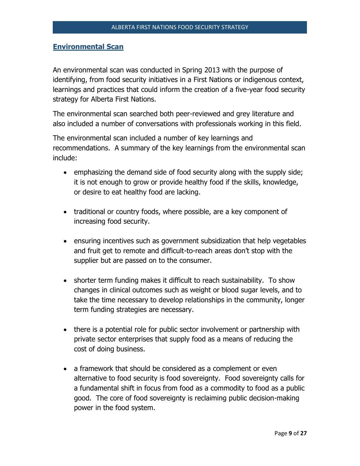# <span id="page-8-0"></span>**Environmental Scan**

An environmental scan was conducted in Spring 2013 with the purpose of identifying, from food security initiatives in a First Nations or indigenous context, learnings and practices that could inform the creation of a five-year food security strategy for Alberta First Nations.

The environmental scan searched both peer-reviewed and grey literature and also included a number of conversations with professionals working in this field.

The environmental scan included a number of key learnings and recommendations. A summary of the key learnings from the environmental scan include:

- emphasizing the demand side of food security along with the supply side; it is not enough to grow or provide healthy food if the skills, knowledge, or desire to eat healthy food are lacking.
- traditional or country foods, where possible, are a key component of increasing food security.
- ensuring incentives such as government subsidization that help vegetables and fruit get to remote and difficult-to-reach areas don't stop with the supplier but are passed on to the consumer.
- shorter term funding makes it difficult to reach sustainability. To show changes in clinical outcomes such as weight or blood sugar levels, and to take the time necessary to develop relationships in the community, longer term funding strategies are necessary.
- there is a potential role for public sector involvement or partnership with private sector enterprises that supply food as a means of reducing the cost of doing business.
- a framework that should be considered as a complement or even alternative to food security is food sovereignty. Food sovereignty calls for a fundamental shift in focus from food as a commodity to food as a public good. The core of food sovereignty is reclaiming public decision-making power in the food system.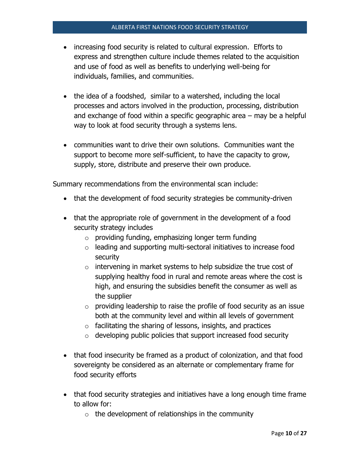- increasing food security is related to cultural expression. Efforts to express and strengthen culture include themes related to the acquisition and use of food as well as benefits to underlying well-being for individuals, families, and communities.
- the idea of a foodshed, similar to a watershed, including the local processes and actors involved in the production, processing, distribution and exchange of food within a specific geographic area – may be a helpful way to look at food security through a systems lens.
- communities want to drive their own solutions. Communities want the support to become more self-sufficient, to have the capacity to grow, supply, store, distribute and preserve their own produce.

Summary recommendations from the environmental scan include:

- that the development of food security strategies be community-driven
- that the appropriate role of government in the development of a food security strategy includes
	- $\circ$  providing funding, emphasizing longer term funding
	- o leading and supporting multi-sectoral initiatives to increase food security
	- $\circ$  intervening in market systems to help subsidize the true cost of supplying healthy food in rural and remote areas where the cost is high, and ensuring the subsidies benefit the consumer as well as the supplier
	- $\circ$  providing leadership to raise the profile of food security as an issue both at the community level and within all levels of government
	- $\circ$  facilitating the sharing of lessons, insights, and practices
	- $\circ$  developing public policies that support increased food security
- that food insecurity be framed as a product of colonization, and that food sovereignty be considered as an alternate or complementary frame for food security efforts
- that food security strategies and initiatives have a long enough time frame to allow for:
	- $\circ$  the development of relationships in the community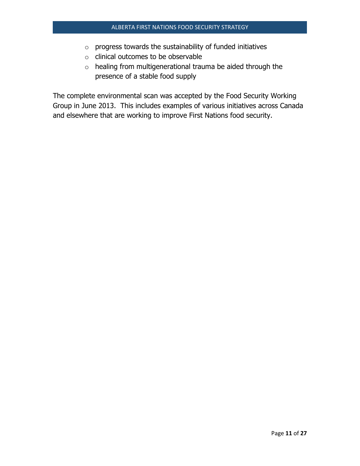- o progress towards the sustainability of funded initiatives
- o clinical outcomes to be observable
- o healing from multigenerational trauma be aided through the presence of a stable food supply

The complete environmental scan was accepted by the Food Security Working Group in June 2013. This includes examples of various initiatives across Canada and elsewhere that are working to improve First Nations food security.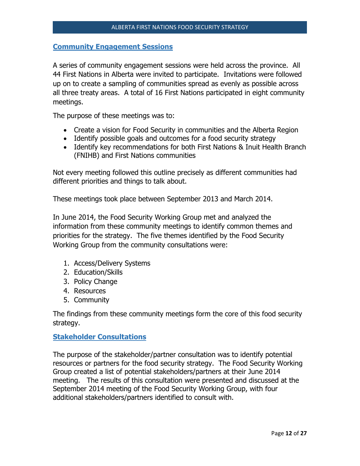#### <span id="page-11-0"></span>**Community Engagement Sessions**

A series of community engagement sessions were held across the province. All 44 First Nations in Alberta were invited to participate. Invitations were followed up on to create a sampling of communities spread as evenly as possible across all three treaty areas. A total of 16 First Nations participated in eight community meetings.

The purpose of these meetings was to:

- Create a vision for Food Security in communities and the Alberta Region
- Identify possible goals and outcomes for a food security strategy
- Identify key recommendations for both First Nations & Inuit Health Branch (FNIHB) and First Nations communities

Not every meeting followed this outline precisely as different communities had different priorities and things to talk about.

These meetings took place between September 2013 and March 2014.

In June 2014, the Food Security Working Group met and analyzed the information from these community meetings to identify common themes and priorities for the strategy. The five themes identified by the Food Security Working Group from the community consultations were:

- 1. Access/Delivery Systems
- 2. Education/Skills
- 3. Policy Change
- 4. Resources
- 5. Community

The findings from these community meetings form the core of this food security strategy.

# <span id="page-11-1"></span>**Stakeholder Consultations**

The purpose of the stakeholder/partner consultation was to identify potential resources or partners for the food security strategy. The Food Security Working Group created a list of potential stakeholders/partners at their June 2014 meeting. The results of this consultation were presented and discussed at the September 2014 meeting of the Food Security Working Group, with four additional stakeholders/partners identified to consult with.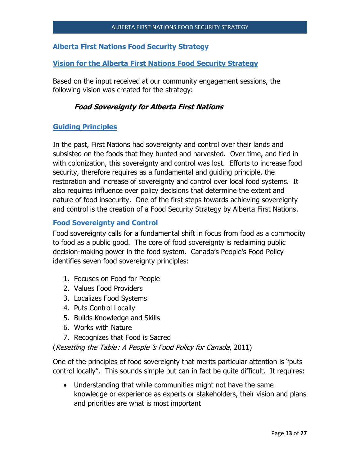# <span id="page-12-0"></span>**Alberta First Nations Food Security Strategy**

#### <span id="page-12-1"></span>**Vision for the Alberta First Nations Food Security Strategy**

Based on the input received at our community engagement sessions, the following vision was created for the strategy:

#### **Food Sovereignty for Alberta First Nations**

#### <span id="page-12-2"></span>**Guiding Principles**

In the past, First Nations had sovereignty and control over their lands and subsisted on the foods that they hunted and harvested. Over time, and tied in with colonization, this sovereignty and control was lost. Efforts to increase food security, therefore requires as a fundamental and guiding principle, the restoration and increase of sovereignty and control over local food systems. It also requires influence over policy decisions that determine the extent and nature of food insecurity. One of the first steps towards achieving sovereignty and control is the creation of a Food Security Strategy by Alberta First Nations.

#### <span id="page-12-3"></span>**Food Sovereignty and Control**

Food sovereignty calls for a fundamental shift in focus from food as a commodity to food as a public good. The core of food sovereignty is reclaiming public decision-making power in the food system. Canada's People's Food Policy identifies seven food sovereignty principles:

- 1. Focuses on Food for People
- 2. Values Food Providers
- 3. Localizes Food Systems
- 4. Puts Control Locally
- 5. Builds Knowledge and Skills
- 6. Works with Nature
- 7. Recognizes that Food is Sacred

(Resetting the Table : A People 's Food Policy for Canada, 2011)

One of the principles of food sovereignty that merits particular attention is "puts control locally". This sounds simple but can in fact be quite difficult. It requires:

 Understanding that while communities might not have the same knowledge or experience as experts or stakeholders, their vision and plans and priorities are what is most important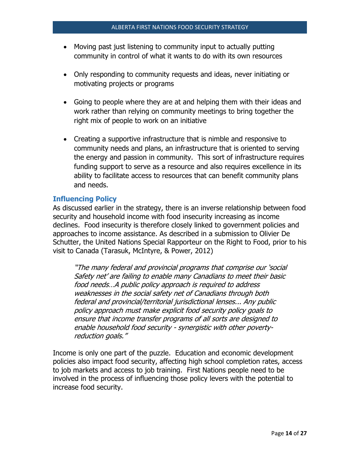- Moving past just listening to community input to actually putting community in control of what it wants to do with its own resources
- Only responding to community requests and ideas, never initiating or motivating projects or programs
- Going to people where they are at and helping them with their ideas and work rather than relying on community meetings to bring together the right mix of people to work on an initiative
- Creating a supportive infrastructure that is nimble and responsive to community needs and plans, an infrastructure that is oriented to serving the energy and passion in community. This sort of infrastructure requires funding support to serve as a resource and also requires excellence in its ability to facilitate access to resources that can benefit community plans and needs.

# <span id="page-13-0"></span>**Influencing Policy**

As discussed earlier in the strategy, there is an inverse relationship between food security and household income with food insecurity increasing as income declines. Food insecurity is therefore closely linked to government policies and approaches to income assistance. As described in a submission to Olivier De Schutter, the United Nations Special Rapporteur on the Right to Food, prior to his visit to Canada (Tarasuk, McIntyre, & Power, 2012)

"The many federal and provincial programs that comprise our 'social Safety net' are failing to enable many Canadians to meet their basic food needs…A public policy approach is required to address weaknesses in the social safety net of Canadians through both federal and provincial/territorial jurisdictional lenses... Any public policy approach must make explicit food security policy goals to ensure that income transfer programs of all sorts are designed to enable household food security - synergistic with other povertyreduction goals."

Income is only one part of the puzzle. Education and economic development policies also impact food security, affecting high school completion rates, access to job markets and access to job training. First Nations people need to be involved in the process of influencing those policy levers with the potential to increase food security.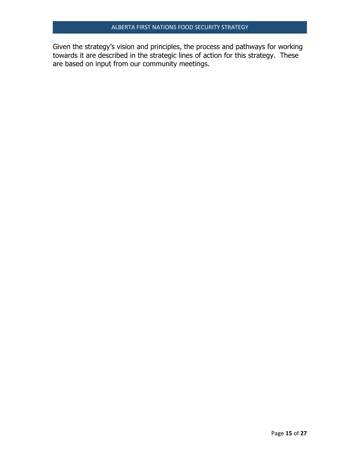Given the strategy's vision and principles, the process and pathways for working towards it are described in the strategic lines of action for this strategy. These are based on input from our community meetings.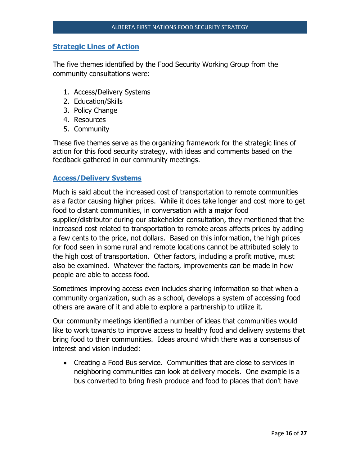#### <span id="page-15-0"></span>**Strategic Lines of Action**

The five themes identified by the Food Security Working Group from the community consultations were:

- 1. Access/Delivery Systems
- 2. Education/Skills
- 3. Policy Change
- 4. Resources
- 5. Community

These five themes serve as the organizing framework for the strategic lines of action for this food security strategy, with ideas and comments based on the feedback gathered in our community meetings.

# <span id="page-15-1"></span>**Access/Delivery Systems**

Much is said about the increased cost of transportation to remote communities as a factor causing higher prices. While it does take longer and cost more to get food to distant communities, in conversation with a major food supplier/distributor during our stakeholder consultation, they mentioned that the increased cost related to transportation to remote areas affects prices by adding a few cents to the price, not dollars. Based on this information, the high prices for food seen in some rural and remote locations cannot be attributed solely to the high cost of transportation. Other factors, including a profit motive, must also be examined. Whatever the factors, improvements can be made in how people are able to access food.

Sometimes improving access even includes sharing information so that when a community organization, such as a school, develops a system of accessing food others are aware of it and able to explore a partnership to utilize it.

Our community meetings identified a number of ideas that communities would like to work towards to improve access to healthy food and delivery systems that bring food to their communities. Ideas around which there was a consensus of interest and vision included:

 Creating a Food Bus service. Communities that are close to services in neighboring communities can look at delivery models. One example is a bus converted to bring fresh produce and food to places that don't have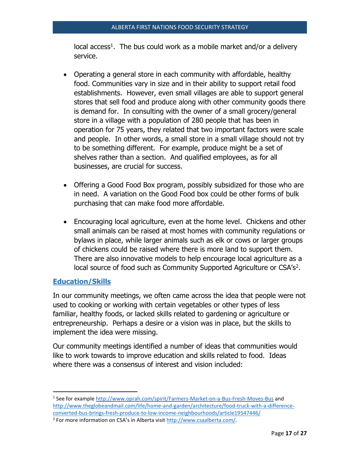local  $access<sup>1</sup>$ . The bus could work as a mobile market and/or a delivery service.

- Operating a general store in each community with affordable, healthy food. Communities vary in size and in their ability to support retail food establishments. However, even small villages are able to support general stores that sell food and produce along with other community goods there is demand for. In consulting with the owner of a small grocery/general store in a village with a population of 280 people that has been in operation for 75 years, they related that two important factors were scale and people. In other words, a small store in a small village should not try to be something different. For example, produce might be a set of shelves rather than a section. And qualified employees, as for all businesses, are crucial for success.
- Offering a Good Food Box program, possibly subsidized for those who are in need. A variation on the Good Food box could be other forms of bulk purchasing that can make food more affordable.
- Encouraging local agriculture, even at the home level. Chickens and other small animals can be raised at most homes with community regulations or bylaws in place, while larger animals such as elk or cows or larger groups of chickens could be raised where there is more land to support them. There are also innovative models to help encourage local agriculture as a local source of food such as Community Supported Agriculture or CSA's<sup>2</sup>.

# <span id="page-16-0"></span>**Education/Skills**

 $\overline{a}$ 

In our community meetings, we often came across the idea that people were not used to cooking or working with certain vegetables or other types of less familiar, healthy foods, or lacked skills related to gardening or agriculture or entrepreneurship. Perhaps a desire or a vision was in place, but the skills to implement the idea were missing.

Our community meetings identified a number of ideas that communities would like to work towards to improve education and skills related to food. Ideas where there was a consensus of interest and vision included:

<sup>&</sup>lt;sup>1</sup> See for example<http://www.oprah.com/spirit/Farmers-Market-on-a-Bus-Fresh-Moves-Bus> and [http://www.theglobeandmail.com/life/home-and-garden/architecture/food-truck-with-a-difference](http://www.theglobeandmail.com/life/home-and-garden/architecture/food-truck-with-a-difference-converted-bus-brings-fresh-produce-to-low-income-neighbourhoods/article19547446/)[converted-bus-brings-fresh-produce-to-low-income-neighbourhoods/article19547446/](http://www.theglobeandmail.com/life/home-and-garden/architecture/food-truck-with-a-difference-converted-bus-brings-fresh-produce-to-low-income-neighbourhoods/article19547446/)

<sup>&</sup>lt;sup>2</sup> For more information on CSA's in Alberta visit [http://www.csaalberta.com/.](http://www.csaalberta.com/)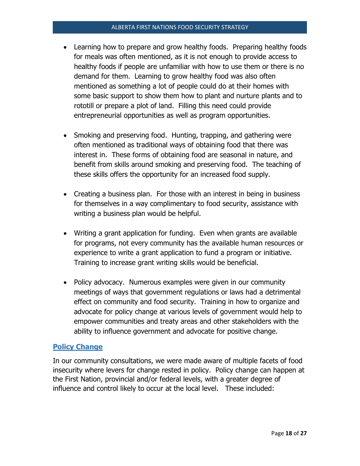- Learning how to prepare and grow healthy foods. Preparing healthy foods for meals was often mentioned, as it is not enough to provide access to healthy foods if people are unfamiliar with how to use them or there is no demand for them. Learning to grow healthy food was also often mentioned as something a lot of people could do at their homes with some basic support to show them how to plant and nurture plants and to rototill or prepare a plot of land. Filling this need could provide entrepreneurial opportunities as well as program opportunities.
- Smoking and preserving food. Hunting, trapping, and gathering were often mentioned as traditional ways of obtaining food that there was interest in. These forms of obtaining food are seasonal in nature, and benefit from skills around smoking and preserving food. The teaching of these skills offers the opportunity for an increased food supply.
- Creating a business plan. For those with an interest in being in business for themselves in a way complimentary to food security, assistance with writing a business plan would be helpful.
- Writing a grant application for funding. Even when grants are available for programs, not every community has the available human resources or experience to write a grant application to fund a program or initiative. Training to increase grant writing skills would be beneficial.
- Policy advocacy. Numerous examples were given in our community meetings of ways that government regulations or laws had a detrimental effect on community and food security. Training in how to organize and advocate for policy change at various levels of government would help to empower communities and treaty areas and other stakeholders with the ability to influence government and advocate for positive change.

# <span id="page-17-0"></span>**Policy Change**

In our community consultations, we were made aware of multiple facets of food insecurity where levers for change rested in policy. Policy change can happen at the First Nation, provincial and/or federal levels, with a greater degree of influence and control likely to occur at the local level. These included: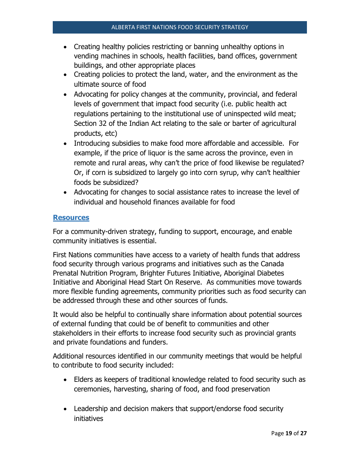- Creating healthy policies restricting or banning unhealthy options in vending machines in schools, health facilities, band offices, government buildings, and other appropriate places
- Creating policies to protect the land, water, and the environment as the ultimate source of food
- Advocating for policy changes at the community, provincial, and federal levels of government that impact food security (i.e. public health act regulations pertaining to the institutional use of uninspected wild meat; Section 32 of the Indian Act relating to the sale or barter of agricultural products, etc)
- Introducing subsidies to make food more affordable and accessible. For example, if the price of liquor is the same across the province, even in remote and rural areas, why can't the price of food likewise be regulated? Or, if corn is subsidized to largely go into corn syrup, why can't healthier foods be subsidized?
- Advocating for changes to social assistance rates to increase the level of individual and household finances available for food

#### <span id="page-18-0"></span>**Resources**

For a community-driven strategy, funding to support, encourage, and enable community initiatives is essential.

First Nations communities have access to a variety of health funds that address food security through various programs and initiatives such as the Canada Prenatal Nutrition Program, Brighter Futures Initiative, Aboriginal Diabetes Initiative and Aboriginal Head Start On Reserve. As communities move towards more flexible funding agreements, community priorities such as food security can be addressed through these and other sources of funds.

It would also be helpful to continually share information about potential sources of external funding that could be of benefit to communities and other stakeholders in their efforts to increase food security such as provincial grants and private foundations and funders.

Additional resources identified in our community meetings that would be helpful to contribute to food security included:

- Elders as keepers of traditional knowledge related to food security such as ceremonies, harvesting, sharing of food, and food preservation
- Leadership and decision makers that support/endorse food security initiatives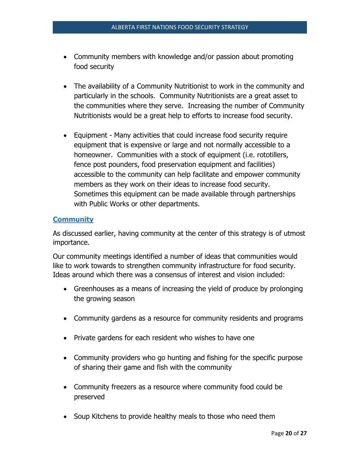- Community members with knowledge and/or passion about promoting food security
- The availability of a Community Nutritionist to work in the community and particularly in the schools. Community Nutritionists are a great asset to the communities where they serve. Increasing the number of Community Nutritionists would be a great help to efforts to increase food security.
- Equipment Many activities that could increase food security require equipment that is expensive or large and not normally accessible to a homeowner. Communities with a stock of equipment (i.e. rototillers, fence post pounders, food preservation equipment and facilities) accessible to the community can help facilitate and empower community members as they work on their ideas to increase food security. Sometimes this equipment can be made available through partnerships with Public Works or other departments.

# <span id="page-19-0"></span>**Community**

As discussed earlier, having community at the center of this strategy is of utmost importance.

Our community meetings identified a number of ideas that communities would like to work towards to strengthen community infrastructure for food security. Ideas around which there was a consensus of interest and vision included:

- Greenhouses as a means of increasing the yield of produce by prolonging the growing season
- Community gardens as a resource for community residents and programs
- Private gardens for each resident who wishes to have one
- Community providers who go hunting and fishing for the specific purpose of sharing their game and fish with the community
- Community freezers as a resource where community food could be preserved
- Soup Kitchens to provide healthy meals to those who need them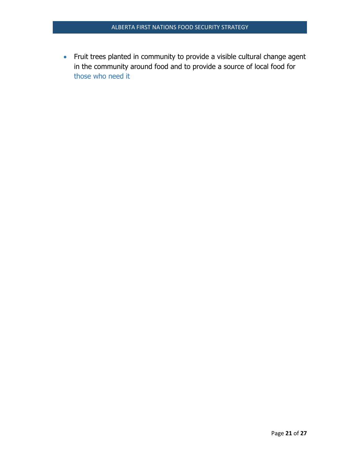Fruit trees planted in community to provide a visible cultural change agent in the community around food and to provide a source of local food for those who need it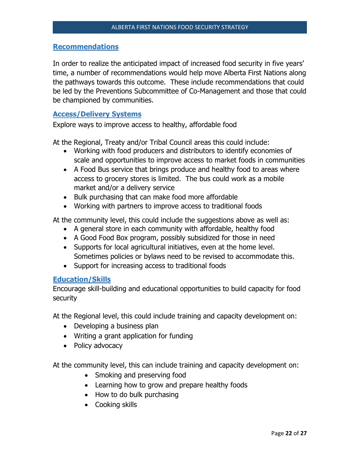#### <span id="page-21-0"></span>**Recommendations**

In order to realize the anticipated impact of increased food security in five years' time, a number of recommendations would help move Alberta First Nations along the pathways towards this outcome. These include recommendations that could be led by the Preventions Subcommittee of Co-Management and those that could be championed by communities.

#### <span id="page-21-1"></span>**Access/Delivery Systems**

Explore ways to improve access to healthy, affordable food

At the Regional, Treaty and/or Tribal Council areas this could include:

- Working with food producers and distributors to identify economies of scale and opportunities to improve access to market foods in communities
- A Food Bus service that brings produce and healthy food to areas where access to grocery stores is limited. The bus could work as a mobile market and/or a delivery service
- Bulk purchasing that can make food more affordable
- Working with partners to improve access to traditional foods

At the community level, this could include the suggestions above as well as:

- A general store in each community with affordable, healthy food
- A Good Food Box program, possibly subsidized for those in need
- Supports for local agricultural initiatives, even at the home level. Sometimes policies or bylaws need to be revised to accommodate this.
- Support for increasing access to traditional foods

#### <span id="page-21-2"></span>**Education/Skills**

Encourage skill-building and educational opportunities to build capacity for food security

At the Regional level, this could include training and capacity development on:

- Developing a business plan
- Writing a grant application for funding
- Policy advocacy

At the community level, this can include training and capacity development on:

- Smoking and preserving food
- Learning how to grow and prepare healthy foods
- How to do bulk purchasing
- Cooking skills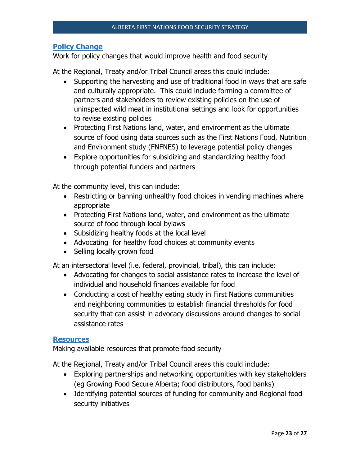# <span id="page-22-0"></span>**Policy Change**

Work for policy changes that would improve health and food security

At the Regional, Treaty and/or Tribal Council areas this could include:

- Supporting the harvesting and use of traditional food in ways that are safe and culturally appropriate. This could include forming a committee of partners and stakeholders to review existing policies on the use of uninspected wild meat in institutional settings and look for opportunities to revise existing policies
- Protecting First Nations land, water, and environment as the ultimate source of food using data sources such as the First Nations Food, Nutrition and Environment study (FNFNES) to leverage potential policy changes
- Explore opportunities for subsidizing and standardizing healthy food through potential funders and partners

At the community level, this can include:

- Restricting or banning unhealthy food choices in vending machines where appropriate
- Protecting First Nations land, water, and environment as the ultimate source of food through local bylaws
- Subsidizing healthy foods at the local level
- Advocating for healthy food choices at community events
- Selling locally grown food

At an intersectoral level (i.e. federal, provincial, tribal), this can include:

- Advocating for changes to social assistance rates to increase the level of individual and household finances available for food
- Conducting a cost of healthy eating study in First Nations communities and neighboring communities to establish financial thresholds for food security that can assist in advocacy discussions around changes to social assistance rates

#### <span id="page-22-1"></span>**Resources**

Making available resources that promote food security

At the Regional, Treaty and/or Tribal Council areas this could include:

- Exploring partnerships and networking opportunities with key stakeholders (eg Growing Food Secure Alberta; food distributors, food banks)
- Identifying potential sources of funding for community and Regional food security initiatives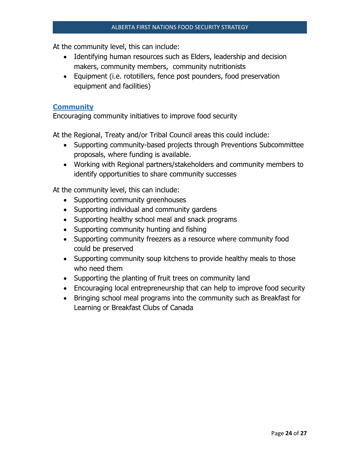At the community level, this can include:

- Identifying human resources such as Elders, leadership and decision makers, community members, community nutritionists
- Equipment (i.e. rototillers, fence post pounders, food preservation equipment and facilities)

#### <span id="page-23-0"></span>**Community**

Encouraging community initiatives to improve food security

At the Regional, Treaty and/or Tribal Council areas this could include:

- Supporting community-based projects through Preventions Subcommittee proposals, where funding is available.
- Working with Regional partners/stakeholders and community members to identify opportunities to share community successes

At the community level, this can include:

- Supporting community greenhouses
- Supporting individual and community gardens
- Supporting healthy school meal and snack programs
- Supporting community hunting and fishing
- Supporting community freezers as a resource where community food could be preserved
- Supporting community soup kitchens to provide healthy meals to those who need them
- Supporting the planting of fruit trees on community land
- Encouraging local entrepreneurship that can help to improve food security
- Bringing school meal programs into the community such as Breakfast for Learning or Breakfast Clubs of Canada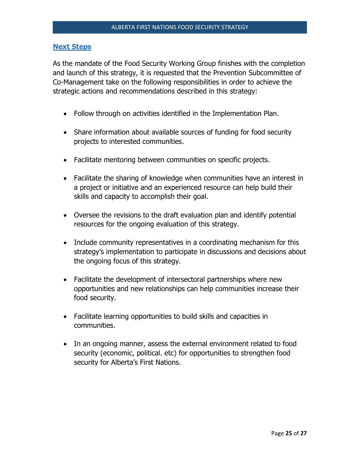#### <span id="page-24-0"></span>**Next Steps**

As the mandate of the Food Security Working Group finishes with the completion and launch of this strategy, it is requested that the Prevention Subcommittee of Co-Management take on the following responsibilities in order to achieve the strategic actions and recommendations described in this strategy:

- Follow through on activities identified in the Implementation Plan.
- Share information about available sources of funding for food security projects to interested communities.
- Facilitate mentoring between communities on specific projects.
- Facilitate the sharing of knowledge when communities have an interest in a project or initiative and an experienced resource can help build their skills and capacity to accomplish their goal.
- Oversee the revisions to the draft evaluation plan and identify potential resources for the ongoing evaluation of this strategy.
- Include community representatives in a coordinating mechanism for this strategy's implementation to participate in discussions and decisions about the ongoing focus of this strategy.
- Facilitate the development of intersectoral partnerships where new opportunities and new relationships can help communities increase their food security.
- Facilitate learning opportunities to build skills and capacities in communities.
- In an ongoing manner, assess the external environment related to food security (economic, political. etc) for opportunities to strengthen food security for Alberta's First Nations.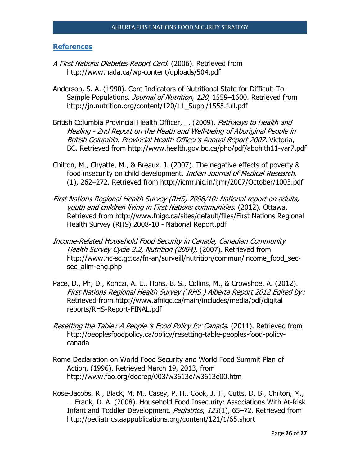#### <span id="page-25-0"></span>**References**

- A First Nations Diabetes Report Card. (2006). Retrieved from http://www.nada.ca/wp-content/uploads/504.pdf
- Anderson, S. A. (1990). Core Indicators of Nutritional State for Difficult-To-Sample Populations. *Journal of Nutrition, 120*, 1559–1600. Retrieved from http://jn.nutrition.org/content/120/11\_Suppl/1555.full.pdf
- British Columbia Provincial Health Officer, \_. (2009). Pathways to Health and Healing - 2nd Report on the Heath and Well-being of Aboriginal People in British Columbia. Provincial Health Officer's Annual Report 2007. Victoria, BC. Retrieved from http://www.health.gov.bc.ca/pho/pdf/abohlth11-var7.pdf
- Chilton, M., Chyatte, M., & Breaux, J. (2007). The negative effects of poverty & food insecurity on child development. Indian Journal of Medical Research, (1), 262–272. Retrieved from http://icmr.nic.in/ijmr/2007/October/1003.pdf
- First Nations Regional Health Survey (RHS) 2008/10: National report on adults, youth and children living in First Nations communities. (2012). Ottawa. Retrieved from http://www.fnigc.ca/sites/default/files/First Nations Regional Health Survey (RHS) 2008-10 - National Report.pdf
- Income-Related Household Food Security in Canada, Canadian Community Health Survey Cycle 2.2, Nutrition (2004). (2007). Retrieved from http://www.hc-sc.gc.ca/fn-an/surveill/nutrition/commun/income\_food\_secsec\_alim-eng.php
- Pace, D., Ph, D., Konczi, A. E., Hons, B. S., Collins, M., & Crowshoe, A. (2012). First Nations Regional Health Survey ( RHS ) Alberta Report 2012 Edited by : Retrieved from http://www.afnigc.ca/main/includes/media/pdf/digital reports/RHS-Report-FINAL.pdf
- Resetting the Table : A People 's Food Policy for Canada. (2011). Retrieved from http://peoplesfoodpolicy.ca/policy/resetting-table-peoples-food-policycanada
- Rome Declaration on World Food Security and World Food Summit Plan of Action. (1996). Retrieved March 19, 2013, from http://www.fao.org/docrep/003/w3613e/w3613e00.htm
- Rose-Jacobs, R., Black, M. M., Casey, P. H., Cook, J. T., Cutts, D. B., Chilton, M., … Frank, D. A. (2008). Household Food Insecurity: Associations With At-Risk Infant and Toddler Development. Pediatrics, 121(1), 65-72. Retrieved from http://pediatrics.aappublications.org/content/121/1/65.short